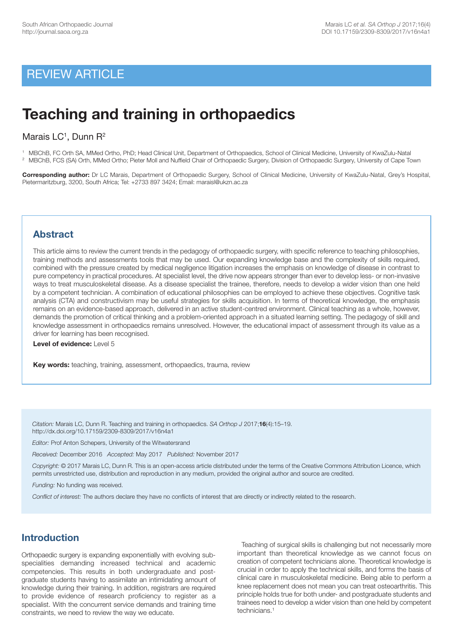## REVIEW ARTICLE

# **Teaching and training in orthopaedics**

## Marais  $LC<sup>1</sup>$ , Dunn  $R<sup>2</sup>$

1 MBChB, FC Orth SA, MMed Ortho, PhD; Head Clinical Unit, Department of Orthopaedics, School of Clinical Medicine, University of KwaZulu-Natal <sup>2</sup> MBChB, FCS (SA) Orth, MMed Ortho; Pieter Moll and Nuffield Chair of Orthopaedic Surgery, Division of Orthopaedic Surgery, University of Cape Town

**Corresponding author:** Dr LC Marais, Department of Orthopaedic Surgery, School of Clinical Medicine, University of KwaZulu-Natal, Grey's Hospital, Pietermaritzburg, 3200, South Africa; Tel: +2733 897 3424; Email: maraisl@ukzn.ac.za

## **Abstract**

This article aims to review the current trends in the pedagogy of orthopaedic surgery, with specific reference to teaching philosophies, training methods and assessments tools that may be used. Our expanding knowledge base and the complexity of skills required, combined with the pressure created by medical negligence litigation increases the emphasis on knowledge of disease in contrast to pure competency in practical procedures. At specialist level, the drive now appears stronger than ever to develop less- or non-invasive ways to treat musculoskeletal disease. As a disease specialist the trainee, therefore, needs to develop a wider vision than one held by a competent technician. A combination of educational philosophies can be employed to achieve these objectives. Cognitive task analysis (CTA) and constructivism may be useful strategies for skills acquisition. In terms of theoretical knowledge, the emphasis remains on an evidence-based approach, delivered in an active student-centred environment. Clinical teaching as a whole, however, demands the promotion of critical thinking and a problem-oriented approach in a situated learning setting. The pedagogy of skill and knowledge assessment in orthopaedics remains unresolved. However, the educational impact of assessment through its value as a driver for learning has been recognised.

**Level of evidence:** Level 5

**Key words:** teaching, training, assessment, orthopaedics, trauma, review

*Citation:* Marais LC, Dunn R. Teaching and training in orthopaedics. *SA Orthop J* 2017;**16**(4):15–19. http://dx.doi.org/10.17159/2309-8309/2017/v16n4a1

*Editor:* Prof Anton Schepers, University of the Witwatersrand

*Received:* December 2016 *Accepted:* May 2017 *Published:* November 2017

*Copyright:* © 2017 Marais LC, Dunn R. This is an open-access article distributed under the terms of the Creative Commons Attribution Licence, which permits unrestricted use, distribution and reproduction in any medium, provided the original author and source are credited.

*Funding:* No funding was received.

*Conflict of interest:* The authors declare they have no conflicts of interest that are directly or indirectly related to the research.

## **Introduction**

Orthopaedic surgery is expanding exponentially with evolving subspecialities demanding increased technical and academic competencies. This results in both undergraduate and postgraduate students having to assimilate an intimidating amount of knowledge during their training. In addition, registrars are required to provide evidence of research proficiency to register as a specialist. With the concurrent service demands and training time constraints, we need to review the way we educate.

Teaching of surgical skills is challenging but not necessarily more important than theoretical knowledge as we cannot focus on creation of competent technicians alone. Theoretical knowledge is crucial in order to apply the technical skills, and forms the basis of clinical care in musculoskeletal medicine. Being able to perform a knee replacement does not mean you can treat osteoarthritis. This principle holds true for both under- and postgraduate students and trainees need to develop a wider vision than one held by competent technicians. 1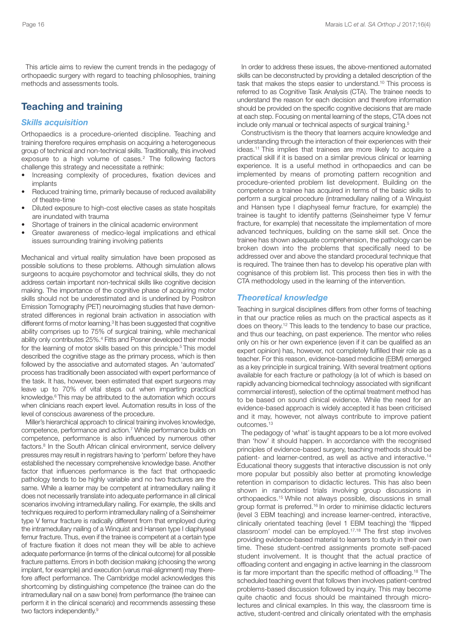This article aims to review the current trends in the pedagogy of orthopaedic surgery with regard to teaching philosophies, training methods and assessments tools.

## **Teaching and training**

#### *Skills acquisition*

Orthopaedics is a procedure-oriented discipline. Teaching and training therefore requires emphasis on acquiring a heterogeneous group of technical and non-technical skills. Traditionally, this involved exposure to a high volume of cases. <sup>2</sup> The following factors challenge this strategy and necessitate a rethink:

- Increasing complexity of procedures, fixation devices and implants
- Reduced training time, primarily because of reduced availability of theatre-time
- Diluted exposure to high-cost elective cases as state hospitals are inundated with trauma
- Shortage of trainers in the clinical academic environment
- Greater awareness of medico-legal implications and ethical issues surrounding training involving patients

Mechanical and virtual reality simulation have been proposed as possible solutions to these problems. Although simulation allows surgeons to acquire psychomotor and technical skills, they do not address certain important non-technical skills like cognitive decision making. The importance of the cognitive phase of acquiring motor skills should not be underestimated and is underlined by Positron Emission Tomography (PET) neuroimaging studies that have demonstrated differences in regional brain activation in association with different forms of motor learning. <sup>3</sup> It has been suggested that cognitive ability comprises up to 75% of surgical training, while mechanical ability only contributes 25%. <sup>4</sup> Fitts and Posner developed their model for the learning of motor skills based on this principle. <sup>5</sup> This model described the cognitive stage as the primary process, which is then followed by the associative and automated stages. An 'automated' process has traditionally been associated with expert performance of the task. It has, however, been estimated that expert surgeons may leave up to 70% of vital steps out when imparting practical knowledge. <sup>6</sup> This may be attributed to the automation which occurs when clinicians reach expert level. Automation results in loss of the level of conscious awareness of the procedure.

Miller's hierarchical approach to clinical training involves knowledge, competence, performance and action. <sup>7</sup> While performance builds on competence, performance is also influenced by numerous other factors. <sup>8</sup> In the South African clinical environment, service delivery pressures may result in registrars having to 'perform' before they have established the necessary comprehensive knowledge base. Another factor that influences performance is the fact that orthopaedic pathology tends to be highly variable and no two fractures are the same. While a learner may be competent at intramedullary nailing it does not necessarily translate into adequate performance in all clinical scenarios involving intramedullary nailing. For example, the skills and techniques required to perform intramedullary nailing of a Seinsheimer type V femur fracture is radically different from that employed during the intramedullary nailing of a Winquist and Hansen type I diaphyseal femur fracture. Thus, even if the trainee is competent at a certain type of fracture fixation it does not mean they will be able to achieve adequate performance (in terms of the clinical outcome) for all possible fracture patterns. Errors in both decision making (choosing the wrong implant, for example) and execution (varus mal-alignment) may therefore affect performance. The Cambridge model acknowledges this shortcoming by distinguishing competence (the trainee can do the intramedullary nail on a saw bone) from performance (the trainee can perform it in the clinical scenario) and recommends assessing these two factors independently.<sup>9</sup>

In order to address these issues, the above-mentioned automated skills can be deconstructed by providing a detailed description of the task that makes the steps easier to understand. <sup>10</sup> This process is referred to as Cognitive Task Analysis (CTA). The trainee needs to understand the reason for each decision and therefore information should be provided on the specific cognitive decisions that are made at each step. Focusing on mental learning of the steps, CTA does not include only manual or technical aspects of surgical training.<sup>5</sup>

Constructivism is the theory that learners acquire knowledge and understanding through the interaction of their experiences with their ideas. <sup>11</sup> This implies that trainees are more likely to acquire a practical skill if it is based on a similar previous clinical or learning experience. It is a useful method in orthopaedics and can be implemented by means of promoting pattern recognition and procedure-oriented problem list development. Building on the competence a trainee has acquired in terms of the basic skills to perform a surgical procedure (intramedullary nailing of a Winquist and Hansen type I diaphyseal femur fracture, for example) the trainee is taught to identify patterns (Seinsheimer type V femur fracture, for example) that necessitate the implementation of more advanced techniques, building on the same skill set. Once the trainee has shown adequate comprehension, the pathology can be broken down into the problems that specifically need to be addressed over and above the standard procedural technique that is required. The trainee then has to develop his operative plan with cognisance of this problem list. This process then ties in with the CTA methodology used in the learning of the intervention.

#### *Theoretical knowledge*

Teaching in surgical disciplines differs from other forms of teaching in that our practice relies as much on the practical aspects as it does on theory. <sup>12</sup> This leads to the tendency to base our practice, and thus our teaching, on past experience. The mentor who relies only on his or her own experience (even if it can be qualified as an expert opinion) has, however, not completely fulfilled their role as a teacher. For this reason, evidence-based medicine (EBM) emerged as a key principle in surgical training. With several treatment options available for each fracture or pathology (a lot of which is based on rapidly advancing biomedical technology associated with significant commercial interest), selection of the optimal treatment method has to be based on sound clinical evidence. While the need for an evidence-based approach is widely accepted it has been criticised and it may, however, not always contribute to improve patient outcomes. 13

The pedagogy of 'what' is taught appears to be a lot more evolved than 'how' it should happen. In accordance with the recognised principles of evidence-based surgery, teaching methods should be patient- and learner-centred, as well as active and interactive.<sup>14</sup> Educational theory suggests that interactive discussion is not only more popular but possibly also better at promoting knowledge retention in comparison to didactic lectures. This has also been shown in randomised trials involving group discussions in orthopaedics. <sup>15</sup> While not always possible, discussions in small group format is preferred. <sup>16</sup> In order to minimise didactic lecturers (level 3 EBM teaching) and increase learner-centred, interactive, clinically orientated teaching (level 1 EBM teaching) the 'flipped classroom' model can be employed. 17,18 The first step involves providing evidence-based material to learners to study in their own time. These student-centred assignments promote self-paced student involvement. It is thought that the actual practice of offloading content and engaging in active learning in the classroom is far more important than the specific method of offloading. <sup>18</sup> The scheduled teaching event that follows then involves patient-centred problems-based discussion followed by inquiry. This may become quite chaotic and focus should be maintained through microlectures and clinical examples. In this way, the classroom time is active, student-centred and clinically orientated with the emphasis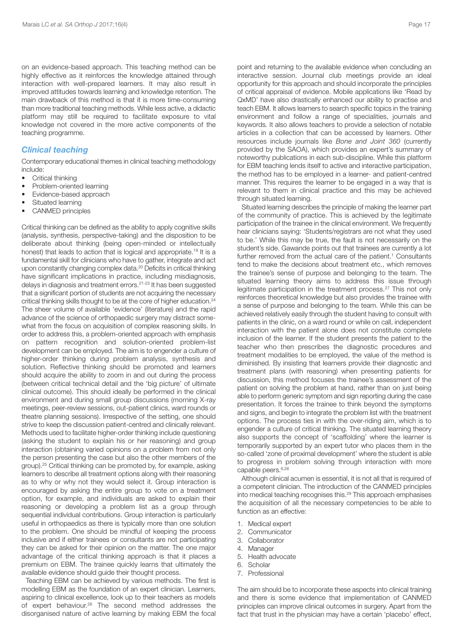on an evidence-based approach. This teaching method can be highly effective as it reinforces the knowledge attained through interaction with well-prepared learners. It may also result in improved attitudes towards learning and knowledge retention. The main drawback of this method is that it is more time-consuming than more traditional teaching methods. While less active, a didactic platform may still be required to facilitate exposure to vital knowledge not covered in the more active components of the teaching programme.

#### *Clinical teaching*

Contemporary educational themes in clinical teaching methodology include:

- Critical thinking
- Problem-oriented learning
- Evidence-based approach
- Situated learning
- CANMED principles

Critical thinking can be defined as the ability to apply cognitive skills (analysis, synthesis, perspective-taking) and the disposition to be deliberate about thinking (being open-minded or intellectually honest) that leads to action that is logical and appropriate. <sup>19</sup> It is a fundamental skill for clinicians who have to gather, integrate and act upon constantly changing complex data. <sup>20</sup> Deficits in critical thinking have significant implications in practice, including misdiagnosis, delays in diagnosis and treatment errors. 21-23 It has been suggested that a significant portion of students are not acquiring the necessary critical thinking skills thought to be at the core of higher education. 24 The sheer volume of available 'evidence' (literature) and the rapid advance of the science of orthopaedic surgery may distract somewhat from the focus on acquisition of complex reasoning skills. In order to address this, a problem-oriented approach with emphasis on pattern recognition and solution-oriented problem-list development can be employed. The aim is to engender a culture of higher-order thinking during problem analysis, synthesis and solution. Reflective thinking should be promoted and learners should acquire the ability to zoom in and out during the process (between critical technical detail and the 'big picture' of ultimate clinical outcome). This should ideally be performed in the clinical environment and during small group discussions (morning X-ray meetings, peer-review sessions, out-patient clinics, ward rounds or theatre planning sessions). Irrespective of the setting, one should strive to keep the discussion patient-centred and clinically relevant. Methods used to facilitate higher-order thinking include questioning (asking the student to explain his or her reasoning) and group interaction (obtaining varied opinions on a problem from not only the person presenting the case but also the other members of the group). <sup>25</sup> Critical thinking can be promoted by, for example, asking learners to describe all treatment options along with their reasoning as to why or why not they would select it. Group interaction is encouraged by asking the entire group to vote on a treatment option, for example, and individuals are asked to explain their reasoning or developing a problem list as a group through sequential individual contributions. Group interaction is particularly useful in orthopaedics as there is typically more than one solution to the problem. One should be mindful of keeping the process inclusive and if either trainees or consultants are not participating they can be asked for their opinion on the matter. The one major advantage of the critical thinking approach is that it places a premium on EBM. The trainee quickly learns that ultimately the available evidence should guide their thought process.

Teaching EBM can be achieved by various methods. The first is modelling EBM as the foundation of an expert clinician. Learners, aspiring to clinical excellence, look up to their teachers as models of expert behaviour. <sup>26</sup> The second method addresses the disorganised nature of active learning by making EBM the focal point and returning to the available evidence when concluding an interactive session. Journal club meetings provide an ideal opportunity for this approach and should incorporate the principles of critical appraisal of evidence. Mobile applications like 'Read by QxMD' have also drastically enhanced our ability to practise and teach EBM. It allows learners to search specific topics in the training environment and follow a range of specialities, journals and keywords. It also allows teachers to provide a selection of notable articles in a collection that can be accessed by learners. Other resources include journals like *Bone and Joint 360* (currently provided by the SAOA), which provides an expert's summary of noteworthy publications in each sub-discipline. While this platform for EBM teaching lends itself to active and interactive participation, the method has to be employed in a learner- and patient-centred manner. This requires the learner to be engaged in a way that is relevant to them in clinical practice and this may be achieved through situated learning.

Situated learning describes the principle of making the learner part of the community of practice. This is achieved by the legitimate participation of the trainee in the clinical environment. We frequently hear clinicians saying: 'Students/registrars are not what they used to be.' While this may be true, the fault is not necessarily on the student's side. Gawande points out that trainees are currently a lot further removed from the actual care of the patient. <sup>1</sup> Consultants tend to make the decisions about treatment etc., which removes the trainee's sense of purpose and belonging to the team. The situated learning theory aims to address this issue through legitimate participation in the treatment process.<sup>27</sup> This not only reinforces theoretical knowledge but also provides the trainee with a sense of purpose and belonging to the team. While this can be achieved relatively easily through the student having to consult with patients in the clinic, on a ward round or while on call, independent interaction with the patient alone does not constitute complete inclusion of the learner. If the student presents the patient to the teacher who then prescribes the diagnostic procedures and treatment modalities to be employed, the value of the method is diminished. By insisting that learners provide their diagnostic and treatment plans (with reasoning) when presenting patients for discussion, this method focuses the trainee's assessment of the patient on solving the problem at hand, rather than on just being able to perform generic symptom and sign reporting during the case presentation. It forces the trainee to think beyond the symptoms and signs, and begin to integrate the problem list with the treatment options. The process ties in with the over-riding aim, which is to engender a culture of critical thinking. The situated learning theory also supports the concept of 'scaffolding' where the learner is temporarily supported by an expert tutor who places them in the so-called 'zone of proximal development' where the student is able to progress in problem solving through interaction with more capable peers. 6,28

Although clinical acumen is essential, it is not all that is required of a competent clinician. The introduction of the CANMED principles into medical teaching recognises this. <sup>29</sup> This approach emphasises the acquisition of all the necessary competencies to be able to function as an effective:

- 1. Medical expert
- 2. Communicator
- 3. Collaborator
- 4. Manager
- 5. Health advocate
- 6. Scholar
- 7. Professional

The aim should be to incorporate these aspects into clinical training and there is some evidence that implementation of CANMED principles can improve clinical outcomes in surgery. Apart from the fact that trust in the physician may have a certain 'placebo' effect,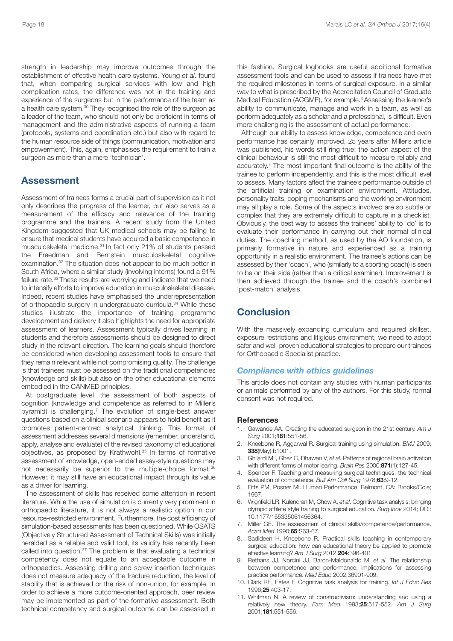strength in leadership may improve outcomes through the establishment of effective health care systems. Young *et al*. found that, when comparing surgical services with low and high complication rates, the difference was not in the training and experience of the surgeons but in the performance of the team as a health care system. <sup>30</sup> They recognised the role of the surgeon as a leader of the team, who should not only be proficient in terms of management and the administrative aspects of running a team (protocols, systems and coordination etc.) but also with regard to the human resource side of things (communication, motivation and empowerment). This, again, emphasises the requirement to train a surgeon as more than a mere 'technician'.

#### **Assessment**

Assessment of trainees forms a crucial part of supervision as it not only describes the progress of the learner, but also serves as a measurement of the efficacy and relevance of the training programme and the trainers. A recent study from the United Kingdom suggested that UK medical schools may be failing to ensure that medical students have acquired a basic competence in musculoskeletal medicine. <sup>31</sup> In fact only 21% of students passed the Freedman and Bernstein musculoskeletal cognitive examination. <sup>32</sup> The situation does not appear to be much better in South Africa, where a similar study (involving interns) found a 91% failure rate. <sup>33</sup> These results are worrying and indicate that we need to intensify efforts to improve education in musculoskeletal disease. Indeed, recent studies have emphasised the underrepresentation of orthopaedic surgery in undergraduate curricula. <sup>34</sup> While these studies illustrate the importance of training programme development and delivery it also highlights the need for appropriate assessment of learners. Assessment typically drives learning in students and therefore assessments should be designed to direct study in the relevant direction. The learning goals should therefore be considered when developing assessment tools to ensure that they remain relevant while not compromising quality. The challenge is that trainees must be assessed on the traditional competencies (knowledge and skills) but also on the other educational elements embodied in the CANMED principles.

At postgraduate level, the assessment of both aspects of cognition (knowledge and competence as referred to in Miller's pyramid) is challenging. <sup>7</sup> The evolution of single-best answer questions based on a clinical scenario appears to hold benefit as it promotes patient-centred analytical thinking. This format of assessment addresses several dimensions (remember, understand, apply, analyse and evaluate) of the revised taxonomy of educational objectives, as proposed by Krathwohl. <sup>35</sup> In terms of formative assessment of knowledge, open-ended essay-style questions may not necessarily be superior to the multiple-choice format.<sup>36</sup> However, it may still have an educational impact through its value as a driver for learning.

The assessment of skills has received some attention in recent literature. While the use of simulation is currently very prominent in orthopaedic literature, it is not always a realistic option in our resource-restricted environment. Furthermore, the cost efficiency of simulation-based assessments has been questioned. While OSATS (Objectively Structured Assessment of Technical Skills) was initially heralded as a reliable and valid tool, its validity has recently been called into question. <sup>37</sup> The problem is that evaluating a technical competency does not equate to an acceptable outcome in orthopaedics. Assessing drilling and screw insertion techniques does not measure adequacy of the fracture reduction, the level of stability that is achieved or the risk of non-union, for example. In order to achieve a more outcome-oriented approach, peer review may be implemented as part of the formative assessment. Both technical competency and surgical outcome can be assessed in

this fashion. Surgical logbooks are useful additional formative assessment tools and can be used to assess if trainees have met the required milestones in terms of surgical exposure, in a similar way to what is prescribed by the Accreditation Council of Graduate Medical Education (ACGME), for example. <sup>3</sup> Assessing the learner's ability to communicate, manage and work in a team, as well as perform adequately as a scholar and a professional, is difficult. Even more challenging is the assessment of actual performance.

Although our ability to assess knowledge, competence and even performance has certainly improved, 25 years after Miller's article was published, his words still ring true: the action aspect of the clinical behaviour is still the most difficult to measure reliably and accurately. <sup>7</sup> The most important final outcome is the ability of the trainee to perform independently, and this is the most difficult level to assess. Many factors affect the trainee's performance outside of the artificial training or examination environment. Attitudes, personality traits, coping mechanisms and the working environment may all play a role. Some of the aspects involved are so subtle or complex that they are extremely difficult to capture in a checklist. Obviously, the best way to assess the trainees' ability to 'do' is to evaluate their performance in carrying out their normal clinical duties. The coaching method, as used by the AO foundation, is primarily formative in nature and experienced as a training opportunity in a realistic environment. The trainee's actions can be assessed by their 'coach', who (similarly to a sporting coach) is seen to be on their side (rather than a critical examiner). Improvement is then achieved through the trainee and the coach's combined 'post-match' analysis.

### **Conclusion**

With the massively expanding curriculum and required skillset, exposure restrictions and litigious environment, we need to adopt safer and well-proven educational strategies to prepare our trainees for Orthopaedic Specialist practice.

#### *Compliance with ethics guidelines*

This article does not contain any studies with human participants or animals performed by any of the authors. For this study, formal consent was not required.

#### **References**

- 1. Gawande AA. Creating the educated surgeon in the 21st century. *Am J Surg* 2001;**181**:551-56.
- 2. Kneebone R, Aggarwal R. Surgical training using simulation. *BMJ* 2009; **338**(May):b1001.
- 3. Ghilardi MF, Ghez C, Dhawan V, *et al*. Patterns of regional brain activation with different forms of motor learing. *Brain Res* 2000;**871**(1):127-45.
- 4. Spencer F. Teaching and measuring surgical techniques: the technical evaluation of competence. *Bull Am Coll Surg* 1978;**63**:9-12.
- 5. Fitts PM, Posner MI. Human Performance. Belmont, CA: Brooks/Cole; 1967.
- 6. Wignfield LR, Kulendran M, Chow A, *et al*. Cognitive task analysis: bringing olympic athlete style training to surgical education. *Surg Inov* 2014; DOI: 10.1177/155335061456364.
- 7. Miller GE. The assessment of clinical skills/competence/performance. *Acad Med* 1990;**65**:S63-67.
- 8. Sadideen H, Kneebone R. Practical skills teaching in contemporary surgical education: how can educational theory be applied to promote effective learning? *Am J Surg* 2012;**204**:396-401.
- 9. Rethans JJ, Norcini JJ, Baron-Maldonaldo M, *et al*. The relationship between competence and performance: implications for assessing practice performance. *Med Educ* 2002;36901-909.
- 10. Clark RE, Estes F. Cognitive task analysis for training. *Int J Educ Res* 1996;**25**:403-17.
- 11. Whitman N. A review of constructivism: understanding and using a relatively new theory. *Fam Med* 1993;**25**:517-552. *Am J Surg* 2001;**181**:551-556.